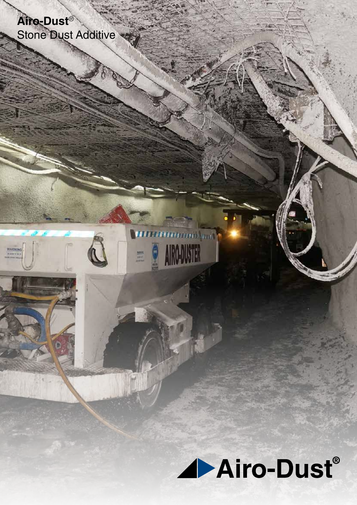**Airo-Dust**® Stone Dust Additive

WARNING



(je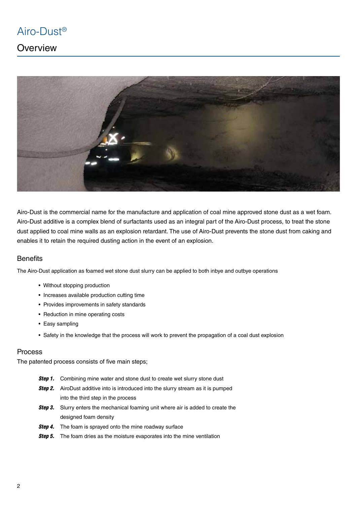## Airo-Dust®

### **Overview**



Airo-Dust is the commercial name for the manufacture and application of coal mine approved stone dust as a wet foam. Airo-Dust additive is a complex blend of surfactants used as an integral part of the Airo-Dust process, to treat the stone dust applied to coal mine walls as an explosion retardant. The use of Airo-Dust prevents the stone dust from caking and enables it to retain the required dusting action in the event of an explosion.

#### **Benefits**

The Airo-Dust application as foamed wet stone dust slurry can be applied to both inbye and outbye operations

- Without stopping production
- Increases available production cutting time
- Provides improvements in safety standards
- Reduction in mine operating costs
- Easy sampling
- Safety in the knowledge that the process will work to prevent the propagation of a coal dust explosion

#### Process

The patented process consists of five main steps;

- *Step 1.* Combining mine water and stone dust to create wet slurry stone dust
- *Step 2.* AiroDust additive into is introduced into the slurry stream as it is pumped into the third step in the process
- **Step 3.** Slurry enters the mechanical foaming unit where air is added to create the designed foam density
- *Step 4.* The foam is sprayed onto the mine roadway surface
- **Step 5.** The foam dries as the moisture evaporates into the mine ventilation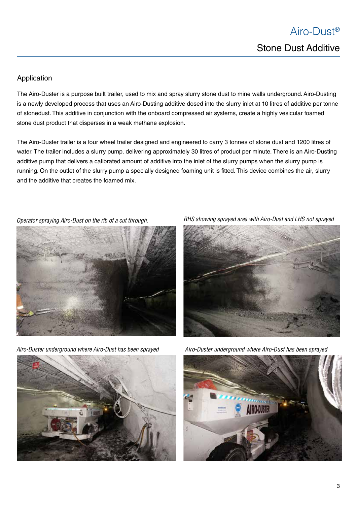#### Application

The Airo-Duster is a purpose built trailer, used to mix and spray slurry stone dust to mine walls underground. Airo-Dusting is a newly developed process that uses an Airo-Dusting additive dosed into the slurry inlet at 10 litres of additive per tonne of stonedust. This additive in conjunction with the onboard compressed air systems, create a highly vesicular foamed stone dust product that disperses in a weak methane explosion.

The Airo-Duster trailer is a four wheel trailer designed and engineered to carry 3 tonnes of stone dust and 1200 litres of water. The trailer includes a slurry pump, delivering approximately 30 litres of product per minute. There is an Airo-Dusting additive pump that delivers a calibrated amount of additive into the inlet of the slurry pumps when the slurry pump is running. On the outlet of the slurry pump a specially designed foaming unit is fitted. This device combines the air, slurry and the additive that creates the foamed mix.





*Operator spraying Airo-Dust on the rib of a cut through. RHS showing sprayed area with Airo-Dust and LHS not sprayed*



*Airo-Duster underground where Airo-Dust has been sprayed Airo-Duster underground where Airo-Dust has been sprayed*